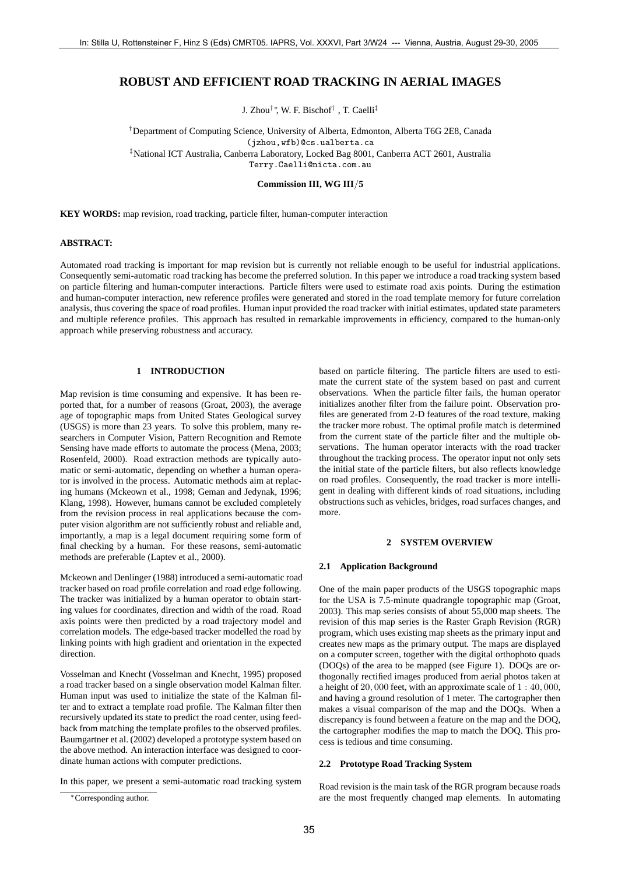# **ROBUST AND EFFICIENT ROAD TRACKING IN AERIAL IMAGES**

J. Zhou†∗, W. F. Bischof† , T. Caelli‡

†Department of Computing Science, University of Alberta, Edmonton, Alberta T6G 2E8, Canada (jzhou,wfb)@cs.ualberta.ca ‡National ICT Australia, Canberra Laboratory, Locked Bag 8001, Canberra ACT 2601, Australia Terry.Caelli@nicta.com.au

## **Commission III, WG III**/**5**

**KEY WORDS:** map revision, road tracking, particle filter, human-computer interaction

## **ABSTRACT:**

Automated road tracking is important for map revision but is currently not reliable enough to be useful for industrial applications. Consequently semi-automatic road tracking has become the preferred solution. In this paper we introduce a road tracking system based on particle filtering and human-computer interactions. Particle filters were used to estimate road axis points. During the estimation and human-computer interaction, new reference profiles were generated and stored in the road template memory for future correlation analysis, thus covering the space of road profiles. Human input provided the road tracker with initial estimates, updated state parameters and multiple reference profiles. This approach has resulted in remarkable improvements in efficiency, compared to the human-only approach while preserving robustness and accuracy.

# **1 INTRODUCTION**

Map revision is time consuming and expensive. It has been reported that, for a number of reasons (Groat, 2003), the average age of topographic maps from United States Geological survey (USGS) is more than 23 years. To solve this problem, many researchers in Computer Vision, Pattern Recognition and Remote Sensing have made efforts to automate the process (Mena, 2003; Rosenfeld, 2000). Road extraction methods are typically automatic or semi-automatic, depending on whether a human operator is involved in the process. Automatic methods aim at replacing humans (Mckeown et al., 1998; Geman and Jedynak, 1996; Klang, 1998). However, humans cannot be excluded completely from the revision process in real applications because the computer vision algorithm are not sufficiently robust and reliable and, importantly, a map is a legal document requiring some form of final checking by a human. For these reasons, semi-automatic methods are preferable (Laptev et al., 2000).

Mckeown and Denlinger (1988) introduced a semi-automatic road tracker based on road profile correlation and road edge following. The tracker was initialized by a human operator to obtain starting values for coordinates, direction and width of the road. Road axis points were then predicted by a road trajectory model and correlation models. The edge-based tracker modelled the road by linking points with high gradient and orientation in the expected direction.

Vosselman and Knecht (Vosselman and Knecht, 1995) proposed a road tracker based on a single observation model Kalman filter. Human input was used to initialize the state of the Kalman filter and to extract a template road profile. The Kalman filter then recursively updated its state to predict the road center, using feedback from matching the template profiles to the observed profiles. Baumgartner et al. (2002) developed a prototype system based on the above method. An interaction interface was designed to coordinate human actions with computer predictions.

In this paper, we present a semi-automatic road tracking system

based on particle filtering. The particle filters are used to estimate the current state of the system based on past and current observations. When the particle filter fails, the human operator initializes another filter from the failure point. Observation profiles are generated from 2-D features of the road texture, making the tracker more robust. The optimal profile match is determined from the current state of the particle filter and the multiple observations. The human operator interacts with the road tracker throughout the tracking process. The operator input not only sets the initial state of the particle filters, but also reflects knowledge on road profiles. Consequently, the road tracker is more intelligent in dealing with different kinds of road situations, including obstructions such as vehicles, bridges, road surfaces changes, and more.

## **2 SYSTEM OVERVIEW**

#### **2.1 Application Background**

One of the main paper products of the USGS topographic maps for the USA is 7.5-minute quadrangle topographic map (Groat, 2003). This map series consists of about 55,000 map sheets. The revision of this map series is the Raster Graph Revision (RGR) program, which uses existing map sheets as the primary input and creates new maps as the primary output. The maps are displayed on a computer screen, together with the digital orthophoto quads (DOQs) of the area to be mapped (see Figure 1). DOQs are orthogonally rectified images produced from aerial photos taken at a height of 20, 000 feet, with an approximate scale of 1 : 40, 000, and having a ground resolution of 1 meter. The cartographer then makes a visual comparison of the map and the DOQs. When a discrepancy is found between a feature on the map and the DOQ, the cartographer modifies the map to match the DOQ. This process is tedious and time consuming.

## **2.2 Prototype Road Tracking System**

Road revision is the main task of the RGR program because roads are the most frequently changed map elements. In automating

<sup>∗</sup>Corresponding author.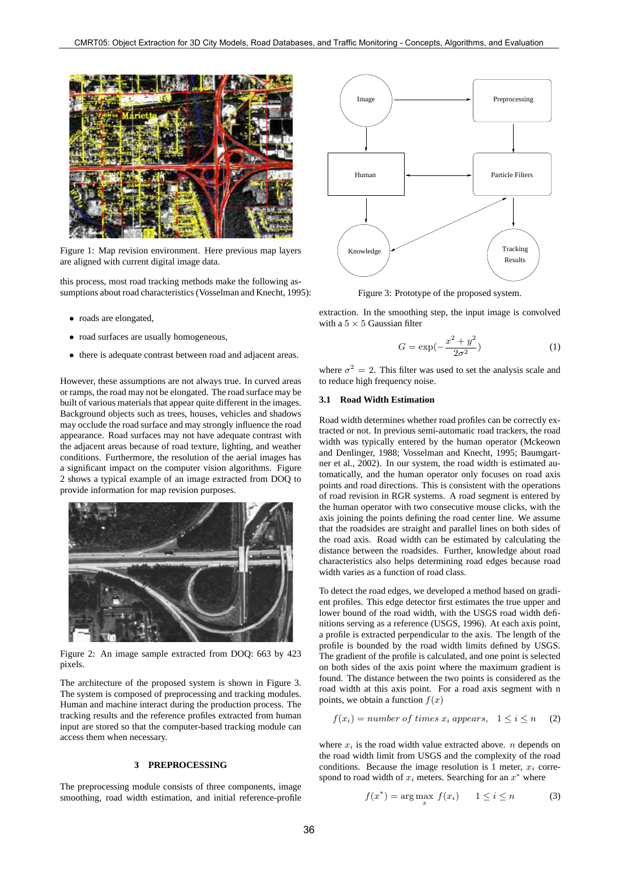

Figure 1: Map revision environment. Here previous map layers are aligned with current digital image data.

this process, most road tracking methods make the following assumptions about road characteristics (Vosselman and Knecht, 1995):

- roads are elongated,
- road surfaces are usually homogeneous,
- there is adequate contrast between road and adjacent areas.

However, these assumptions are not always true. In curved areas or ramps, the road may not be elongated. The road surface may be built of various materials that appear quite different in the images. Background objects such as trees, houses, vehicles and shadows may occlude the road surface and may strongly influence the road appearance. Road surfaces may not have adequate contrast with the adjacent areas because of road texture, lighting, and weather conditions. Furthermore, the resolution of the aerial images has a significant impact on the computer vision algorithms. Figure 2 shows a typical example of an image extracted from DOQ to provide information for map revision purposes.



Figure 2: An image sample extracted from DOQ: 663 by 423 pixels.

The architecture of the proposed system is shown in Figure 3. The system is composed of preprocessing and tracking modules. Human and machine interact during the production process. The tracking results and the reference profiles extracted from human input are stored so that the computer-based tracking module can access them when necessary.

# **3 PREPROCESSING**

The preprocessing module consists of three components, image smoothing, road width estimation, and initial reference-profile



Figure 3: Prototype of the proposed system.

extraction. In the smoothing step, the input image is convolved with a  $5 \times 5$  Gaussian filter

$$
G = \exp\left(-\frac{x^2 + y^2}{2\sigma^2}\right) \tag{1}
$$

where  $\sigma^2 = 2$ . This filter was used to set the analysis scale and to reduce high frequency noise.

## **3.1 Road Width Estimation**

Road width determines whether road profiles can be correctly extracted or not. In previous semi-automatic road trackers, the road width was typically entered by the human operator (Mckeown and Denlinger, 1988; Vosselman and Knecht, 1995; Baumgartner et al., 2002). In our system, the road width is estimated automatically, and the human operator only focuses on road axis points and road directions. This is consistent with the operations of road revision in RGR systems. A road segment is entered by the human operator with two consecutive mouse clicks, with the axis joining the points defining the road center line. We assume that the roadsides are straight and parallel lines on both sides of the road axis. Road width can be estimated by calculating the distance between the roadsides. Further, knowledge about road characteristics also helps determining road edges because road width varies as a function of road class.

To detect the road edges, we developed a method based on gradient profiles. This edge detector first estimates the true upper and lower bound of the road width, with the USGS road width definitions serving as a reference (USGS, 1996). At each axis point, a profile is extracted perpendicular to the axis. The length of the profile is bounded by the road width limits defined by USGS. The gradient of the profile is calculated, and one point is selected on both sides of the axis point where the maximum gradient is found. The distance between the two points is considered as the road width at this axis point. For a road axis segment with n points, we obtain a function  $f(x)$ 

$$
f(x_i) = number of times x_i appears, \quad 1 \le i \le n \tag{2}
$$

where  $x_i$  is the road width value extracted above. *n* depends on the road width limit from USGS and the complexity of the road conditions. Because the image resolution is 1 meter,  $x_i$  correspond to road width of  $x_i$  meters. Searching for an  $x^*$  where

$$
f(x^*) = \arg\max_{x} f(x_i) \qquad 1 \le i \le n \tag{3}
$$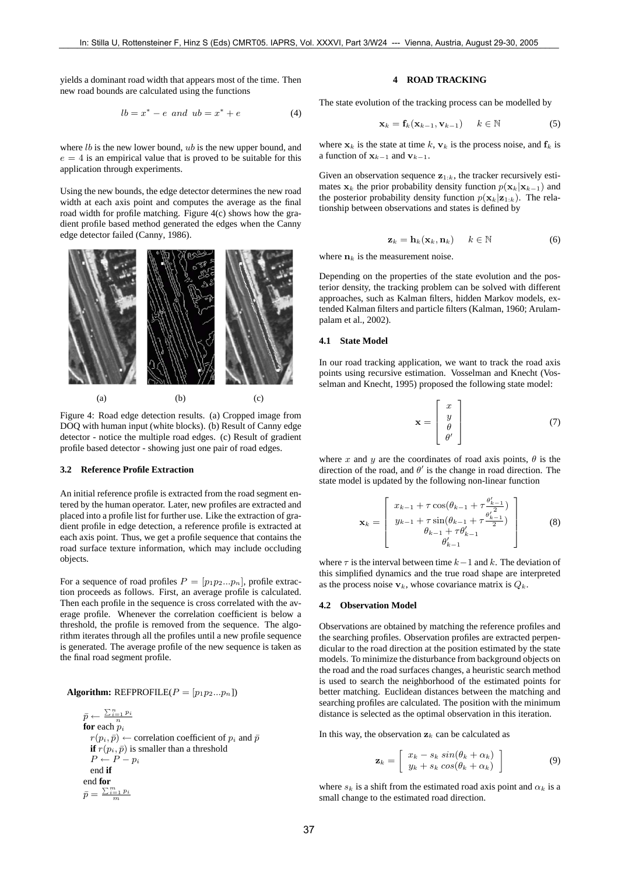yields a dominant road width that appears most of the time. Then new road bounds are calculated using the functions

$$
lb = x^* - e \text{ and } ub = x^* + e \tag{4}
$$

where  $lb$  is the new lower bound,  $ub$  is the new upper bound, and  $e = 4$  is an empirical value that is proved to be suitable for this application through experiments.

Using the new bounds, the edge detector determines the new road width at each axis point and computes the average as the final road width for profile matching. Figure 4(c) shows how the gradient profile based method generated the edges when the Canny edge detector failed (Canny, 1986).



Figure 4: Road edge detection results. (a) Cropped image from DOQ with human input (white blocks). (b) Result of Canny edge detector - notice the multiple road edges. (c) Result of gradient profile based detector - showing just one pair of road edges.

## **3.2 Reference Profile Extraction**

An initial reference profile is extracted from the road segment entered by the human operator. Later, new profiles are extracted and placed into a profile list for further use. Like the extraction of gradient profile in edge detection, a reference profile is extracted at each axis point. Thus, we get a profile sequence that contains the road surface texture information, which may include occluding objects.

For a sequence of road profiles  $P = [p_1p_2...p_n]$ , profile extraction proceeds as follows. First, an average profile is calculated. Then each profile in the sequence is cross correlated with the average profile. Whenever the correlation coefficient is below a threshold, the profile is removed from the sequence. The algorithm iterates through all the profiles until a new profile sequence is generated. The average profile of the new sequence is taken as the final road segment profile.

## **Algorithm:** REFPROFILE( $P = [p_1p_2...p_n]$ )

$$
\bar{p} \leftarrow \frac{\sum_{i=1}^{n} p_i}{n}
$$
\n**for each**  $p_i$ \n
$$
r(p_i, \bar{p}) \leftarrow \text{correlation coefficient of } p_i \text{ and } \bar{p}
$$
\n**if**  $r(p_i, \bar{p})$  is smaller than a threshold\n
$$
P \leftarrow P - p_i
$$
\n**end if**\n
$$
\bar{p} = \frac{\sum_{i=1}^{m} p_i}{m}
$$

# **4 ROAD TRACKING**

The state evolution of the tracking process can be modelled by

$$
\mathbf{x}_k = \mathbf{f}_k(\mathbf{x}_{k-1}, \mathbf{v}_{k-1}) \qquad k \in \mathbb{N} \tag{5}
$$

where  $x_k$  is the state at time k,  $v_k$  is the process noise, and  $f_k$  is a function of  $\mathbf{x}_{k-1}$  and  $\mathbf{v}_{k-1}$ .

Given an observation sequence  $z_{1:k}$ , the tracker recursively estimates  $x_k$  the prior probability density function  $p(x_k|x_{k-1})$  and the posterior probability density function  $p(\mathbf{x}_k|\mathbf{z}_{1:k})$ . The relationship between observations and states is defined by

$$
\mathbf{z}_k = \mathbf{h}_k(\mathbf{x}_k, \mathbf{n}_k) \qquad k \in \mathbb{N} \tag{6}
$$

where  $n_k$  is the measurement noise.

Depending on the properties of the state evolution and the posterior density, the tracking problem can be solved with different approaches, such as Kalman filters, hidden Markov models, extended Kalman filters and particle filters (Kalman, 1960; Arulampalam et al., 2002).

### **4.1 State Model**

In our road tracking application, we want to track the road axis points using recursive estimation. Vosselman and Knecht (Vosselman and Knecht, 1995) proposed the following state model:

$$
\mathbf{x} = \begin{bmatrix} x \\ y \\ \theta \\ \theta' \end{bmatrix} \tag{7}
$$

where x and y are the coordinates of road axis points,  $\theta$  is the direction of the road, and  $\theta'$  is the change in road direction. The state model is updated by the following non-linear function

$$
\mathbf{x}_{k} = \begin{bmatrix} x_{k-1} + \tau \cos(\theta_{k-1} + \tau \frac{\theta'_{k-1}}{2}) \\ y_{k-1} + \tau \sin(\theta_{k-1} + \tau \frac{\theta'_{k-1}}{2}) \\ \theta_{k-1} + \tau \theta'_{k-1} \\ \theta'_{k-1} \end{bmatrix}
$$
(8)

where  $\tau$  is the interval between time  $k-1$  and k. The deviation of this simplified dynamics and the true road shape are interpreted as the process noise  $v_k$ , whose covariance matrix is  $Q_k$ .

# **4.2 Observation Model**

Observations are obtained by matching the reference profiles and the searching profiles. Observation profiles are extracted perpendicular to the road direction at the position estimated by the state models. To minimize the disturbance from background objects on the road and the road surfaces changes, a heuristic search method is used to search the neighborhood of the estimated points for better matching. Euclidean distances between the matching and searching profiles are calculated. The position with the minimum distance is selected as the optimal observation in this iteration.

In this way, the observation  $z_k$  can be calculated as

$$
\mathbf{z}_k = \left[ \begin{array}{c} x_k - s_k \sin(\theta_k + \alpha_k) \\ y_k + s_k \cos(\theta_k + \alpha_k) \end{array} \right] \tag{9}
$$

where  $s_k$  is a shift from the estimated road axis point and  $\alpha_k$  is a small change to the estimated road direction.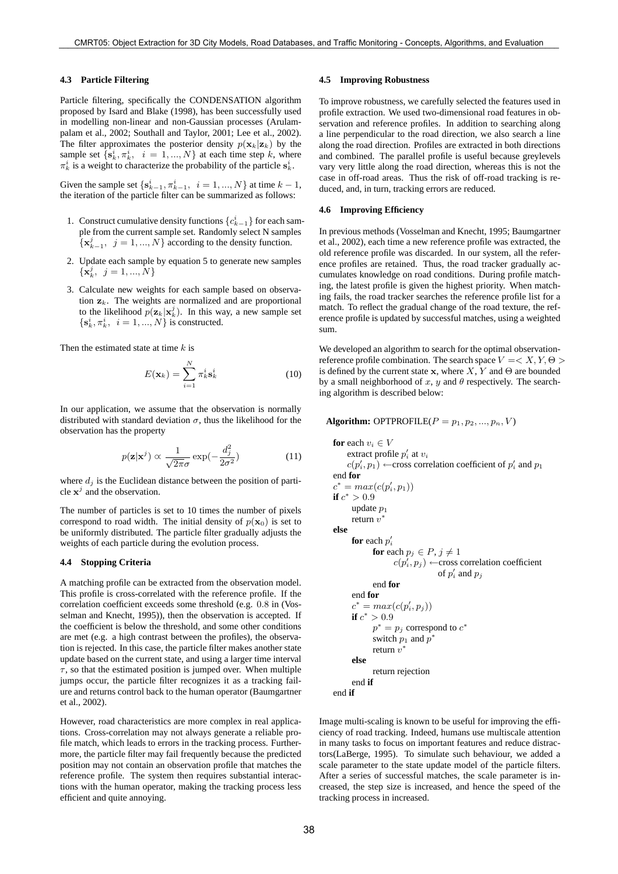#### **4.3 Particle Filtering**

Particle filtering, specifically the CONDENSATION algorithm proposed by Isard and Blake (1998), has been successfully used in modelling non-linear and non-Gaussian processes (Arulampalam et al., 2002; Southall and Taylor, 2001; Lee et al., 2002). The filter approximates the posterior density  $p(\mathbf{x}_k|\mathbf{z}_k)$  by the sample set  $\{s_k^i, \pi_k^i, i = 1, ..., N\}$  at each time step k, where  $\pi_k^i$  is a weight to characterize the probability of the particle  $s_k^i$ .

Given the sample set  $\{s_{k-1}^i, \pi_{k-1}^i, i = 1, ..., N\}$  at time  $k - 1$ , the iteration of the particle filter can be summarized as follows:

- 1. Construct cumulative density functions  ${c_{k-1}^i}$  for each sample from the current sample set. Randomly select N samples  $\{x_{k-1}^j, j=1,...,N\}$  according to the density function.
- 2. Update each sample by equation 5 to generate new samples  $\{\mathbf x_k^j, \, j=1,...,N\}$
- 3. Calculate new weights for each sample based on observation  $z_k$ . The weights are normalized and are proportional to the likelihood  $p(\mathbf{z}_k|\mathbf{x}_k^j)$ . In this way, a new sample set  $\{\mathbf s_k^i, \pi_k^i, \, i=1,...,N\}$  is constructed.

Then the estimated state at time  $k$  is

$$
E(\mathbf{x}_k) = \sum_{i=1}^{N} \pi_k^i \mathbf{s}_k^i
$$
 (10)

In our application, we assume that the observation is normally distributed with standard deviation  $\sigma$ , thus the likelihood for the observation has the property

$$
p(\mathbf{z}|\mathbf{x}^j) \propto \frac{1}{\sqrt{2\pi}\sigma} \exp(-\frac{d_j^2}{2\sigma^2})
$$
 (11)

where  $d_j$  is the Euclidean distance between the position of particle  $x^j$  and the observation.

The number of particles is set to 10 times the number of pixels correspond to road width. The initial density of  $p(\mathbf{x}_0)$  is set to be uniformly distributed. The particle filter gradually adjusts the weights of each particle during the evolution process.

# **4.4 Stopping Criteria**

A matching profile can be extracted from the observation model. This profile is cross-correlated with the reference profile. If the correlation coefficient exceeds some threshold (e.g. 0.8 in (Vosselman and Knecht, 1995)), then the observation is accepted. If the coefficient is below the threshold, and some other conditions are met (e.g. a high contrast between the profiles), the observation is rejected. In this case, the particle filter makes another state update based on the current state, and using a larger time interval  $\tau$ , so that the estimated position is jumped over. When multiple jumps occur, the particle filter recognizes it as a tracking failure and returns control back to the human operator (Baumgartner et al., 2002).

However, road characteristics are more complex in real applications. Cross-correlation may not always generate a reliable profile match, which leads to errors in the tracking process. Furthermore, the particle filter may fail frequently because the predicted position may not contain an observation profile that matches the reference profile. The system then requires substantial interactions with the human operator, making the tracking process less efficient and quite annoying.

### **4.5 Improving Robustness**

To improve robustness, we carefully selected the features used in profile extraction. We used two-dimensional road features in observation and reference profiles. In addition to searching along a line perpendicular to the road direction, we also search a line along the road direction. Profiles are extracted in both directions and combined. The parallel profile is useful because greylevels vary very little along the road direction, whereas this is not the case in off-road areas. Thus the risk of off-road tracking is reduced, and, in turn, tracking errors are reduced.

# **4.6 Improving Efficiency**

In previous methods (Vosselman and Knecht, 1995; Baumgartner et al., 2002), each time a new reference profile was extracted, the old reference profile was discarded. In our system, all the reference profiles are retained. Thus, the road tracker gradually accumulates knowledge on road conditions. During profile matching, the latest profile is given the highest priority. When matching fails, the road tracker searches the reference profile list for a match. To reflect the gradual change of the road texture, the reference profile is updated by successful matches, using a weighted sum.

We developed an algorithm to search for the optimal observationreference profile combination. The search space  $V = \langle X, Y, \Theta \rangle$ is defined by the current state  $x$ , where  $X$ ,  $Y$  and  $\Theta$  are bounded by a small neighborhood of x, y and  $\theta$  respectively. The searching algorithm is described below:

**Algorithm:** OPTPROFILE( $P = p_1, p_2, ..., p_n, V$ )

**for** each  $v_i \in V$ extract profile  $p'_i$  at  $v_i$  $c(p'_i, p_1) \leftarrow$ cross correlation coefficient of  $p'_i$  and  $p_1$ end **for**  $c^* = max(c(p'_i, p_1))$ **if**  $c^* > 0.9$ update  $p_1$ return  $v^*$ **else for** each  $p_i'$ **for** each  $p_j \in P, j \neq 1$  $c(p'_i, p_j) \leftarrow \text{cross correlation coefficient}$ of  $p'_i$  and  $p_j$ end **for** end **for**  $c^* = max(c(p'_i, p_j))$ **if**  $c^* > 0.9$  $p^* = p_j$  correspond to  $c^*$ switch  $p_1$  and  $p^*$ return  $v^*$ **else** return rejection end **if** end **if**

Image multi-scaling is known to be useful for improving the efficiency of road tracking. Indeed, humans use multiscale attention in many tasks to focus on important features and reduce distractors(LaBerge, 1995). To simulate such behaviour, we added a scale parameter to the state update model of the particle filters. After a series of successful matches, the scale parameter is increased, the step size is increased, and hence the speed of the tracking process in increased.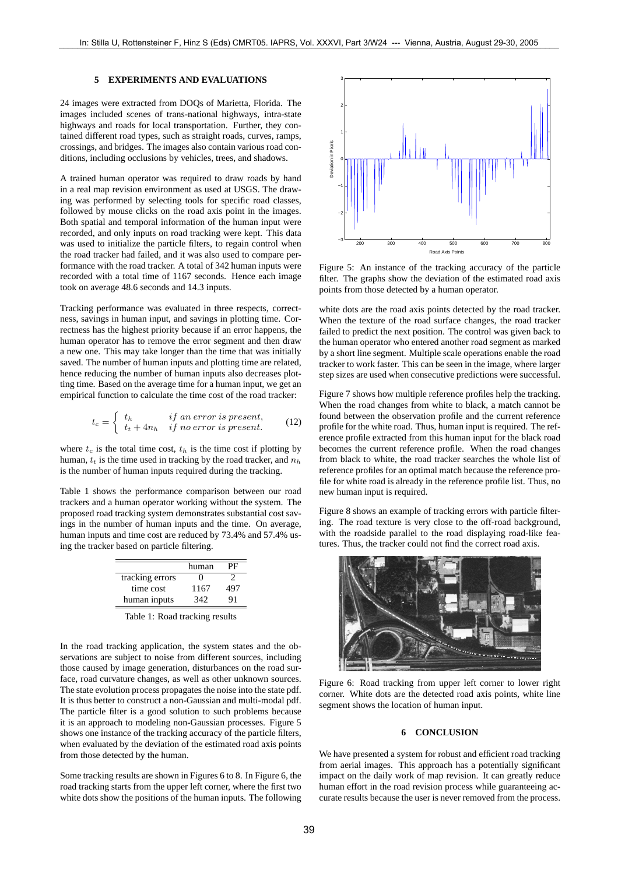## **5 EXPERIMENTS AND EVALUATIONS**

24 images were extracted from DOQs of Marietta, Florida. The images included scenes of trans-national highways, intra-state highways and roads for local transportation. Further, they contained different road types, such as straight roads, curves, ramps, crossings, and bridges. The images also contain various road conditions, including occlusions by vehicles, trees, and shadows.

A trained human operator was required to draw roads by hand in a real map revision environment as used at USGS. The drawing was performed by selecting tools for specific road classes, followed by mouse clicks on the road axis point in the images. Both spatial and temporal information of the human input were recorded, and only inputs on road tracking were kept. This data was used to initialize the particle filters, to regain control when the road tracker had failed, and it was also used to compare performance with the road tracker. A total of 342 human inputs were recorded with a total time of 1167 seconds. Hence each image took on average 48.6 seconds and 14.3 inputs.

Tracking performance was evaluated in three respects, correctness, savings in human input, and savings in plotting time. Correctness has the highest priority because if an error happens, the human operator has to remove the error segment and then draw a new one. This may take longer than the time that was initially saved. The number of human inputs and plotting time are related, hence reducing the number of human inputs also decreases plotting time. Based on the average time for a human input, we get an empirical function to calculate the time cost of the road tracker:

$$
t_c = \begin{cases} t_h & if an error is present, \\ t_t + 4n_h & if no error is present. \end{cases}
$$
 (12)

where  $t_c$  is the total time cost,  $t_h$  is the time cost if plotting by human,  $t_t$  is the time used in tracking by the road tracker, and  $n_h$ is the number of human inputs required during the tracking.

Table 1 shows the performance comparison between our road trackers and a human operator working without the system. The proposed road tracking system demonstrates substantial cost savings in the number of human inputs and the time. On average, human inputs and time cost are reduced by 73.4% and 57.4% using the tracker based on particle filtering.

|                 | human | PF  |
|-----------------|-------|-----|
| tracking errors | 0     |     |
| time cost       | 1167  | 497 |
| human inputs    | 342   | 91  |
|                 |       |     |

Table 1: Road tracking results

In the road tracking application, the system states and the observations are subject to noise from different sources, including those caused by image generation, disturbances on the road surface, road curvature changes, as well as other unknown sources. The state evolution process propagates the noise into the state pdf. It is thus better to construct a non-Gaussian and multi-modal pdf. The particle filter is a good solution to such problems because it is an approach to modeling non-Gaussian processes. Figure 5 shows one instance of the tracking accuracy of the particle filters, when evaluated by the deviation of the estimated road axis points from those detected by the human.

Some tracking results are shown in Figures 6 to 8. In Figure 6, the road tracking starts from the upper left corner, where the first two white dots show the positions of the human inputs. The following



Figure 5: An instance of the tracking accuracy of the particle filter. The graphs show the deviation of the estimated road axis points from those detected by a human operator.

white dots are the road axis points detected by the road tracker. When the texture of the road surface changes, the road tracker failed to predict the next position. The control was given back to the human operator who entered another road segment as marked by a short line segment. Multiple scale operations enable the road tracker to work faster. This can be seen in the image, where larger step sizes are used when consecutive predictions were successful.

Figure 7 shows how multiple reference profiles help the tracking. When the road changes from white to black, a match cannot be found between the observation profile and the current reference profile for the white road. Thus, human input is required. The reference profile extracted from this human input for the black road becomes the current reference profile. When the road changes from black to white, the road tracker searches the whole list of reference profiles for an optimal match because the reference profile for white road is already in the reference profile list. Thus, no new human input is required.

Figure 8 shows an example of tracking errors with particle filtering. The road texture is very close to the off-road background, with the roadside parallel to the road displaying road-like features. Thus, the tracker could not find the correct road axis.



Figure 6: Road tracking from upper left corner to lower right corner. White dots are the detected road axis points, white line segment shows the location of human input.

# **6 CONCLUSION**

We have presented a system for robust and efficient road tracking from aerial images. This approach has a potentially significant impact on the daily work of map revision. It can greatly reduce human effort in the road revision process while guaranteeing accurate results because the user is never removed from the process.